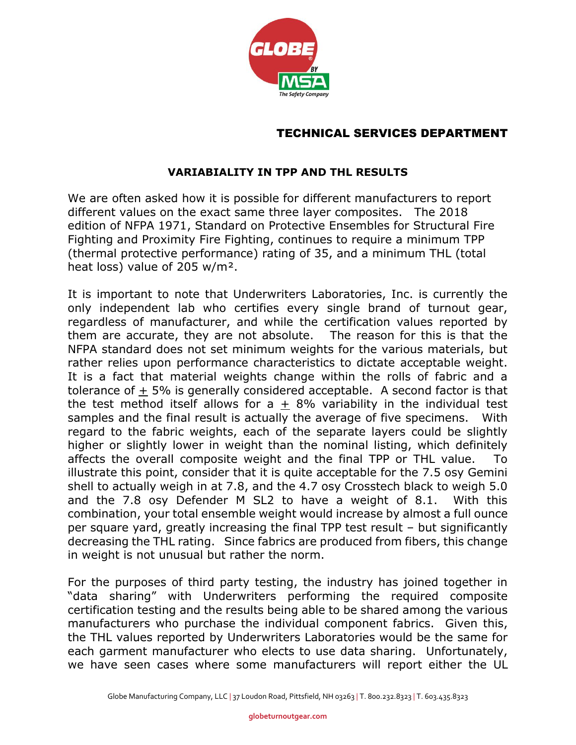

## TECHNICAL SERVICES DEPARTMENT

## **VARIABIALITY IN TPP AND THL RESULTS**

We are often asked how it is possible for different manufacturers to report different values on the exact same three layer composites. The 2018 edition of NFPA 1971, Standard on Protective Ensembles for Structural Fire Fighting and Proximity Fire Fighting, continues to require a minimum TPP (thermal protective performance) rating of 35, and a minimum THL (total heat loss) value of 205 w/m².

It is important to note that Underwriters Laboratories, Inc. is currently the only independent lab who certifies every single brand of turnout gear, regardless of manufacturer, and while the certification values reported by them are accurate, they are not absolute. The reason for this is that the NFPA standard does not set minimum weights for the various materials, but rather relies upon performance characteristics to dictate acceptable weight. It is a fact that material weights change within the rolls of fabric and a tolerance of  $+5\%$  is generally considered acceptable. A second factor is that the test method itself allows for  $a + 8%$  variability in the individual test samples and the final result is actually the average of five specimens. With regard to the fabric weights, each of the separate layers could be slightly higher or slightly lower in weight than the nominal listing, which definitely affects the overall composite weight and the final TPP or THL value. To illustrate this point, consider that it is quite acceptable for the 7.5 osy Gemini shell to actually weigh in at 7.8, and the 4.7 osy Crosstech black to weigh 5.0 and the 7.8 osy Defender M SL2 to have a weight of 8.1. With this combination, your total ensemble weight would increase by almost a full ounce per square yard, greatly increasing the final TPP test result – but significantly decreasing the THL rating. Since fabrics are produced from fibers, this change in weight is not unusual but rather the norm.

For the purposes of third party testing, the industry has joined together in "data sharing" with Underwriters performing the required composite certification testing and the results being able to be shared among the various manufacturers who purchase the individual component fabrics. Given this, the THL values reported by Underwriters Laboratories would be the same for each garment manufacturer who elects to use data sharing. Unfortunately, we have seen cases where some manufacturers will report either the UL